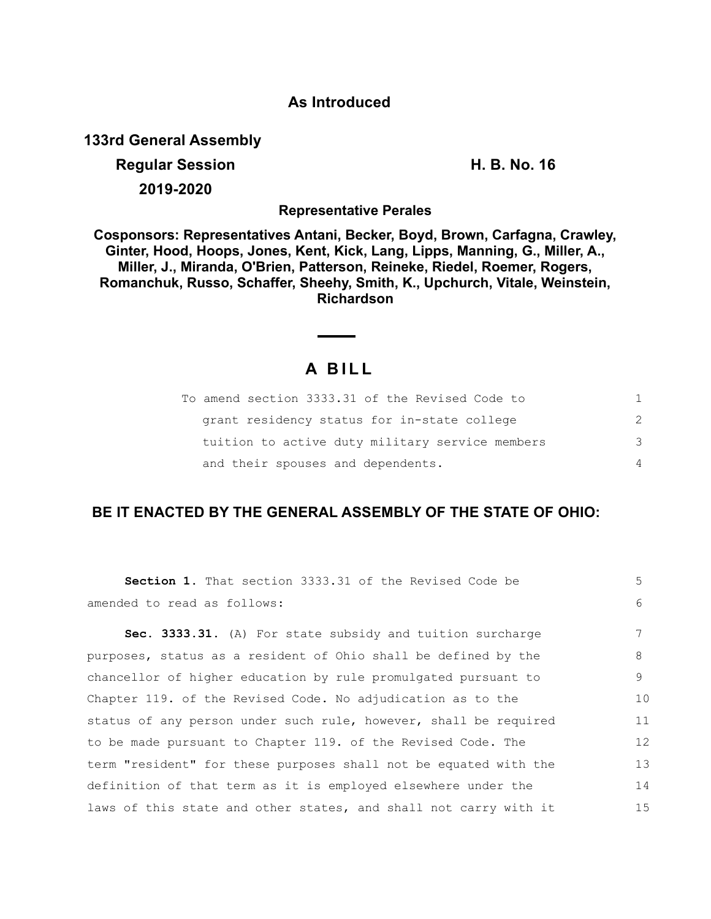### **As Introduced**

**133rd General Assembly**

# **Regular Session H. B. No. 16 2019-2020**

**Representative Perales**

**Cosponsors: Representatives Antani, Becker, Boyd, Brown, Carfagna, Crawley, Ginter, Hood, Hoops, Jones, Kent, Kick, Lang, Lipps, Manning, G., Miller, A., Miller, J., Miranda, O'Brien, Patterson, Reineke, Riedel, Roemer, Rogers, Romanchuk, Russo, Schaffer, Sheehy, Smith, K., Upchurch, Vitale, Weinstein, Richardson**

## **A B I L L**

 $\overline{\phantom{a}}$ 

| To amend section 3333.31 of the Revised Code to |               |
|-------------------------------------------------|---------------|
| grant residency status for in-state college     | $\mathcal{P}$ |
| tuition to active duty military service members | 3             |
| and their spouses and dependents.               | 4             |

### **BE IT ENACTED BY THE GENERAL ASSEMBLY OF THE STATE OF OHIO:**

| <b>Section 1.</b> That section 3333.31 of the Revised Code be    | 5  |
|------------------------------------------------------------------|----|
| amended to read as follows:                                      | 6  |
| Sec. 3333.31. (A) For state subsidy and tuition surcharge        | 7  |
| purposes, status as a resident of Ohio shall be defined by the   | 8  |
| chancellor of higher education by rule promulgated pursuant to   | 9  |
| Chapter 119. of the Revised Code. No adjudication as to the      | 10 |
| status of any person under such rule, however, shall be required | 11 |
| to be made pursuant to Chapter 119. of the Revised Code. The     | 12 |
| term "resident" for these purposes shall not be equated with the | 13 |
| definition of that term as it is employed elsewhere under the    | 14 |
| laws of this state and other states, and shall not carry with it | 15 |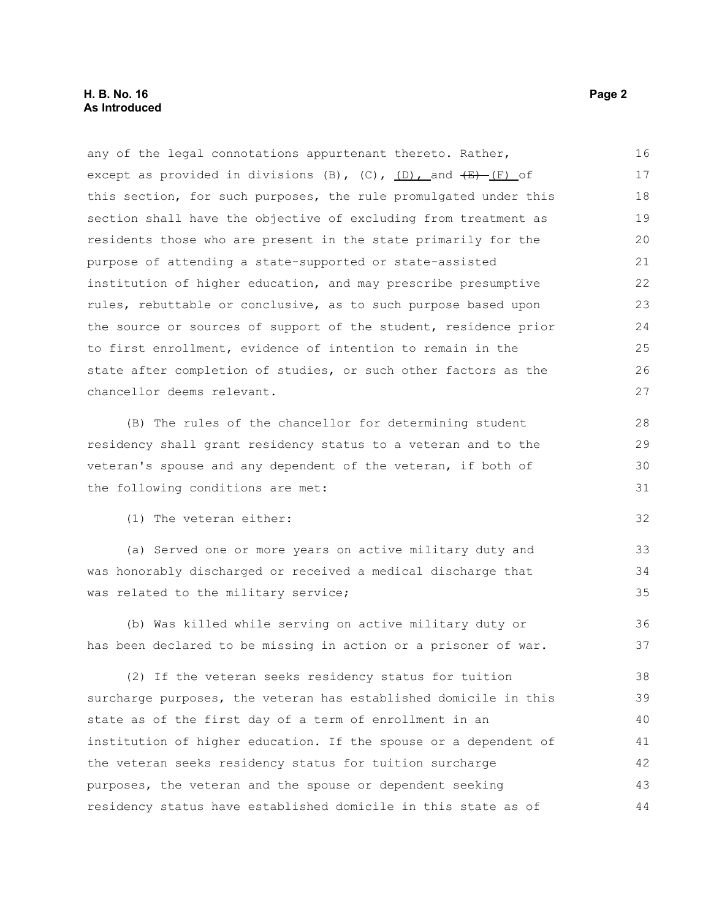#### **H. B. No. 16 Page 2 As Introduced**

any of the legal connotations appurtenant thereto. Rather, except as provided in divisions (B),  $(C)$ ,  $(D)$ , and  $(E)$  (F) of this section, for such purposes, the rule promulgated under this section shall have the objective of excluding from treatment as residents those who are present in the state primarily for the purpose of attending a state-supported or state-assisted institution of higher education, and may prescribe presumptive rules, rebuttable or conclusive, as to such purpose based upon the source or sources of support of the student, residence prior to first enrollment, evidence of intention to remain in the state after completion of studies, or such other factors as the chancellor deems relevant. (B) The rules of the chancellor for determining student residency shall grant residency status to a veteran and to the veteran's spouse and any dependent of the veteran, if both of the following conditions are met: (1) The veteran either: (a) Served one or more years on active military duty and was honorably discharged or received a medical discharge that was related to the military service; (b) Was killed while serving on active military duty or has been declared to be missing in action or a prisoner of war. (2) If the veteran seeks residency status for tuition surcharge purposes, the veteran has established domicile in this state as of the first day of a term of enrollment in an institution of higher education. If the spouse or a dependent of the veteran seeks residency status for tuition surcharge purposes, the veteran and the spouse or dependent seeking residency status have established domicile in this state as of 16 17 18 19 20 21 22 23 24 25 26 27 28 29 30 31 32 33 34 35 36 37 38 39 40 41 42 43 44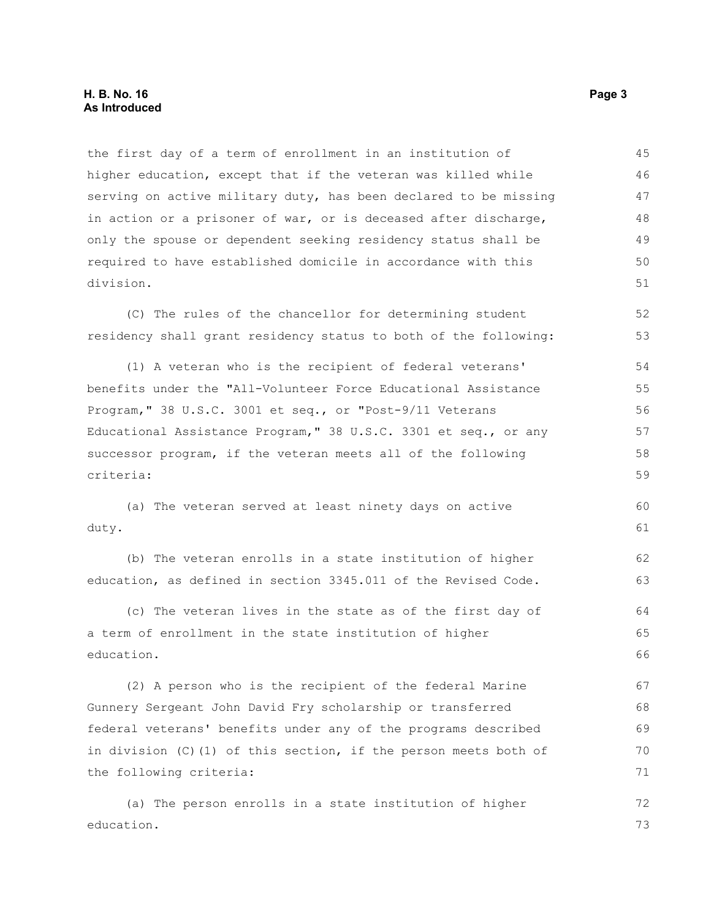the first day of a term of enrollment in an institution of higher education, except that if the veteran was killed while serving on active military duty, has been declared to be missing in action or a prisoner of war, or is deceased after discharge, only the spouse or dependent seeking residency status shall be required to have established domicile in accordance with this division. 45 46 47 48 49 50 51

(C) The rules of the chancellor for determining student residency shall grant residency status to both of the following: 52 53

(1) A veteran who is the recipient of federal veterans' benefits under the "All-Volunteer Force Educational Assistance Program," 38 U.S.C. 3001 et seq., or "Post-9/11 Veterans Educational Assistance Program," 38 U.S.C. 3301 et seq., or any successor program, if the veteran meets all of the following criteria: 54 55 56 57 58 59

(a) The veteran served at least ninety days on active duty. 60 61

(b) The veteran enrolls in a state institution of higher education, as defined in section 3345.011 of the Revised Code. 62 63

(c) The veteran lives in the state as of the first day of a term of enrollment in the state institution of higher education. 64 65 66

(2) A person who is the recipient of the federal Marine Gunnery Sergeant John David Fry scholarship or transferred federal veterans' benefits under any of the programs described in division (C)(1) of this section, if the person meets both of the following criteria: 67 68 69 70 71

(a) The person enrolls in a state institution of higher education. 72 73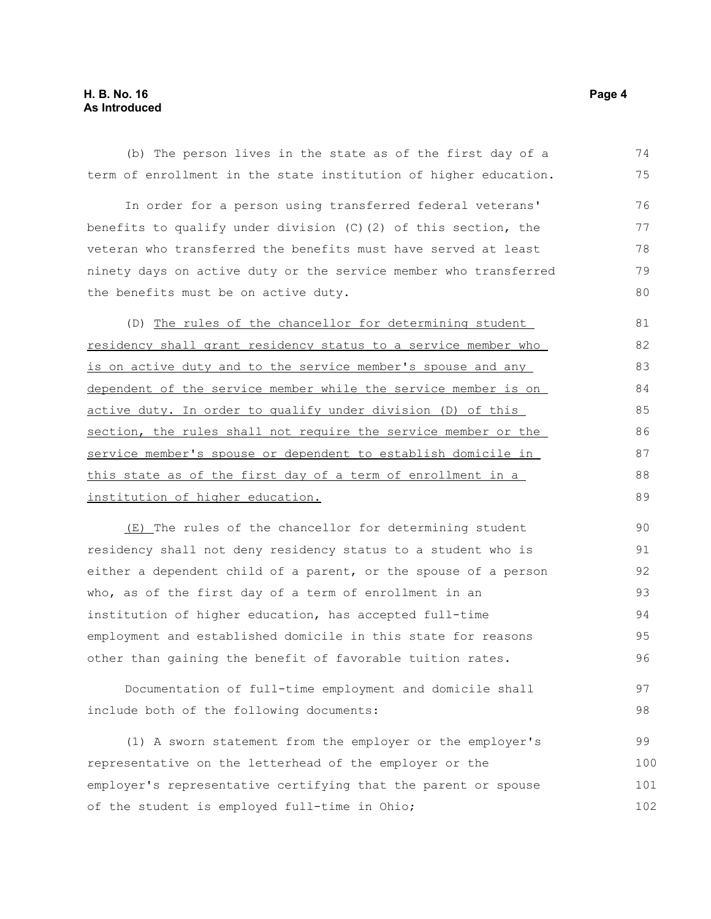### **H. B. No. 16 Page 4 As Introduced**

(b) The person lives in the state as of the first day of a term of enrollment in the state institution of higher education. 74 75

In order for a person using transferred federal veterans' benefits to qualify under division (C)(2) of this section, the veteran who transferred the benefits must have served at least ninety days on active duty or the service member who transferred the benefits must be on active duty. 76 77 78 79 80

(D) The rules of the chancellor for determining student residency shall grant residency status to a service member who is on active duty and to the service member's spouse and any dependent of the service member while the service member is on active duty. In order to qualify under division (D) of this section, the rules shall not require the service member or the service member's spouse or dependent to establish domicile in this state as of the first day of a term of enrollment in a institution of higher education.

(E) The rules of the chancellor for determining student residency shall not deny residency status to a student who is either a dependent child of a parent, or the spouse of a person who, as of the first day of a term of enrollment in an institution of higher education, has accepted full-time employment and established domicile in this state for reasons other than gaining the benefit of favorable tuition rates. 90 91 92 93 94 95 96

Documentation of full-time employment and domicile shall include both of the following documents: 97 98

(1) A sworn statement from the employer or the employer's representative on the letterhead of the employer or the employer's representative certifying that the parent or spouse of the student is employed full-time in Ohio; 99 100 101 102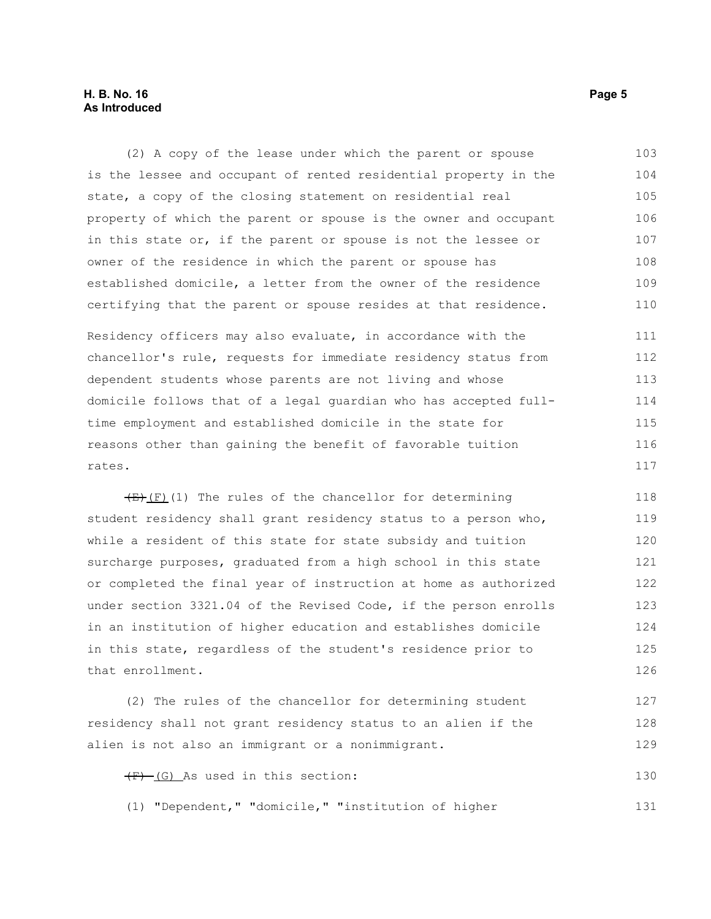#### **H. B. No. 16 Page 5 As Introduced**

(2) A copy of the lease under which the parent or spouse is the lessee and occupant of rented residential property in the state, a copy of the closing statement on residential real property of which the parent or spouse is the owner and occupant in this state or, if the parent or spouse is not the lessee or owner of the residence in which the parent or spouse has established domicile, a letter from the owner of the residence certifying that the parent or spouse resides at that residence. Residency officers may also evaluate, in accordance with the chancellor's rule, requests for immediate residency status from dependent students whose parents are not living and whose domicile follows that of a legal guardian who has accepted fulltime employment and established domicile in the state for reasons other than gaining the benefit of favorable tuition rates. 103 104 105 106 107 108 109 110 111 112 113 114 115 116 117

 $(E)$ (I) The rules of the chancellor for determining student residency shall grant residency status to a person who, while a resident of this state for state subsidy and tuition surcharge purposes, graduated from a high school in this state or completed the final year of instruction at home as authorized under section 3321.04 of the Revised Code, if the person enrolls in an institution of higher education and establishes domicile in this state, regardless of the student's residence prior to that enrollment. 118 119 120 121 122 123 124 125 126

(2) The rules of the chancellor for determining student residency shall not grant residency status to an alien if the alien is not also an immigrant or a nonimmigrant. 127 128 129

 $\overline{F}$  (G) As used in this section: 130

(1) "Dependent," "domicile," "institution of higher

131